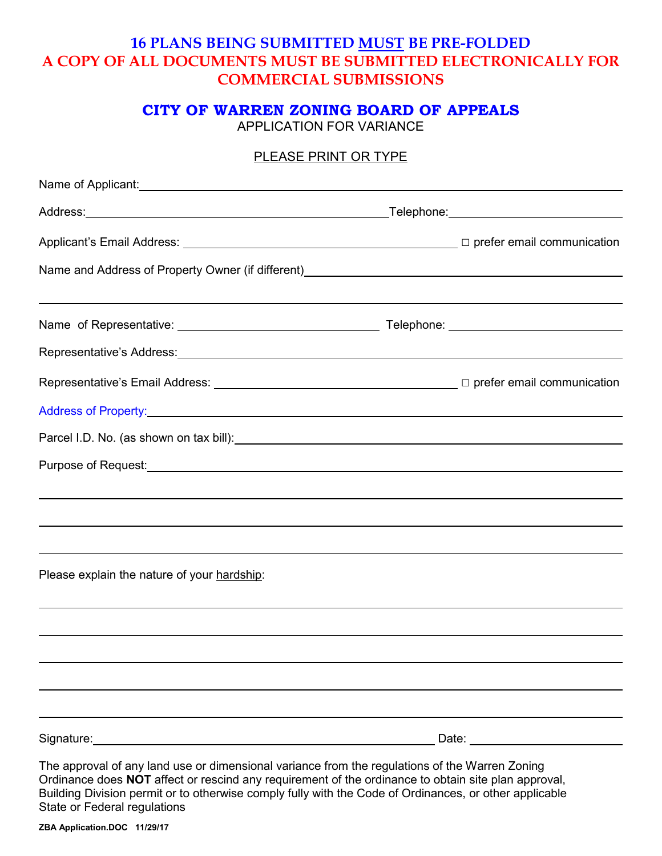# **16 PLANS BEING SUBMITTED MUST BE PRE-FOLDED A COPY OF ALL DOCUMENTS MUST BE SUBMITTED ELECTRONICALLY FOR COMMERCIAL SUBMISSIONS**

# **CITY OF WARREN ZONING BOARD OF APPEALS**

APPLICATION FOR VARIANCE

## PLEASE PRINT OR TYPE

| Name of Applicant: Name of Applicant Control Control of Applicant Control Control Control Control Control Control Control Control Control Control Control Control Control Control Control Control Control Control Control Cont   |  |
|----------------------------------------------------------------------------------------------------------------------------------------------------------------------------------------------------------------------------------|--|
|                                                                                                                                                                                                                                  |  |
| Applicant's Email Address: △ △ △ △ △ △ △ △ △ △ △ △ △ △ △ △ △ Prefer email communication                                                                                                                                          |  |
|                                                                                                                                                                                                                                  |  |
|                                                                                                                                                                                                                                  |  |
|                                                                                                                                                                                                                                  |  |
| Representative's Address:<br>France Contract Contract Contract Contract Contract Contract Contract Contract Contract Contract Contract Contract Contract Contract Contract Contract Contract Contract Contract Contract Contract |  |
| Representative's Email Address: △ △ △ △ △ △ △ △ △ △ △ △ △ △ Prefer email communication                                                                                                                                           |  |
| Address of Property: North Communication of Property:                                                                                                                                                                            |  |
| Parcel I.D. No. (as shown on tax bill): \\esp \\esp \\esp \\esp \\esp \\esp \\esp \\esp \\esp \\esp \\esp \\esp \\esp \\esp \\esp \\esp \\esp \\esp \\esp \\esp \\esp \\esp \\esp \\esp \\esp \\esp \\esp \\esp \\esp \\esp \\   |  |
| Purpose of Request: <u>example and the contract of the contract of the contract of the contract of the contract of</u>                                                                                                           |  |
|                                                                                                                                                                                                                                  |  |
|                                                                                                                                                                                                                                  |  |
|                                                                                                                                                                                                                                  |  |
| Please explain the nature of your hardship:                                                                                                                                                                                      |  |
|                                                                                                                                                                                                                                  |  |
|                                                                                                                                                                                                                                  |  |
|                                                                                                                                                                                                                                  |  |
|                                                                                                                                                                                                                                  |  |
|                                                                                                                                                                                                                                  |  |
|                                                                                                                                                                                                                                  |  |
| The approval of any land use or dimensional variance from the regulations of the Warren Zoning<br>Ordinance does NOT affect or rescind any requirement of the ordinance to obtain site plan approval,                            |  |

Ordinance does **NOT** affect or rescind any requirement of the ordinance to obtain site plan approval, Building Division permit or to otherwise comply fully with the Code of Ordinances, or other applicable State or Federal regulations

**ZBA Application.DOC 11/29/17**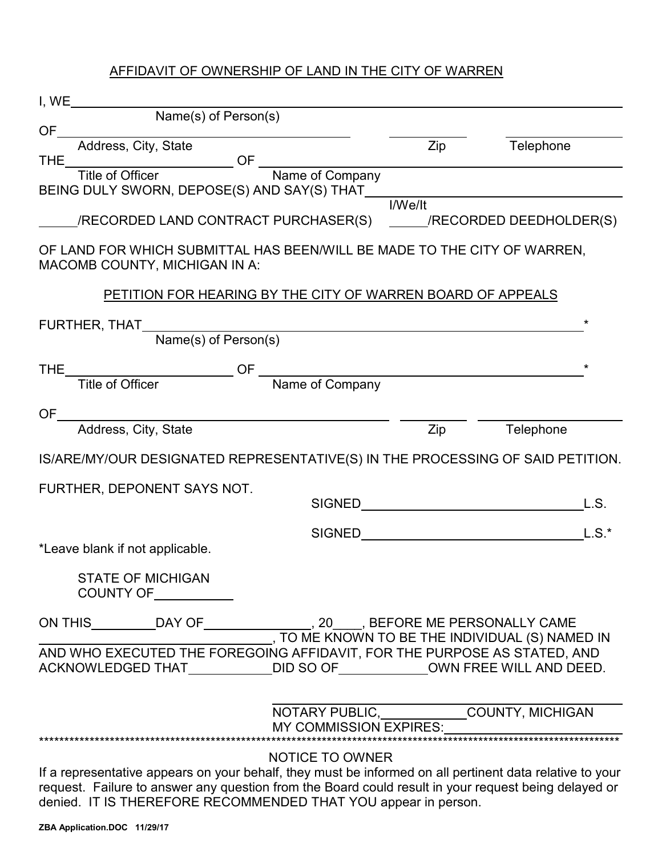## AFFIDAVIT OF OWNERSHIP OF LAND IN THE CITY OF WARREN

| I, WE<br>Name(s) of Person(s)                                                                                                                                                                                                                                                      |                                                 |           |
|------------------------------------------------------------------------------------------------------------------------------------------------------------------------------------------------------------------------------------------------------------------------------------|-------------------------------------------------|-----------|
| <b>OF</b>                                                                                                                                                                                                                                                                          |                                                 |           |
| Address, City, State                                                                                                                                                                                                                                                               | Zip                                             | Telephone |
| Title of Officer OF Name of Company<br><b>THE</b>                                                                                                                                                                                                                                  |                                                 |           |
| BEING DULY SWORN, DEPOSE(S) AND SAY(S) THAT                                                                                                                                                                                                                                        |                                                 |           |
| /RECORDED LAND CONTRACT PURCHASER(S) ______/RECORDED DEEDHOLDER(S)                                                                                                                                                                                                                 | I/We/It                                         |           |
| OF LAND FOR WHICH SUBMITTAL HAS BEEN/WILL BE MADE TO THE CITY OF WARREN,<br>MACOMB COUNTY, MICHIGAN IN A:                                                                                                                                                                          |                                                 |           |
| PETITION FOR HEARING BY THE CITY OF WARREN BOARD OF APPEALS                                                                                                                                                                                                                        |                                                 |           |
| FURTHER, THAT<br><u> 1989 - Johann John Stein, markin fizik eta idazlea (</u>                                                                                                                                                                                                      |                                                 |           |
| Name(s) of Person(s)                                                                                                                                                                                                                                                               |                                                 |           |
|                                                                                                                                                                                                                                                                                    |                                                 |           |
|                                                                                                                                                                                                                                                                                    |                                                 |           |
| OF.<br>Address, City, State                                                                                                                                                                                                                                                        |                                                 |           |
|                                                                                                                                                                                                                                                                                    | Zip                                             | Telephone |
| IS/ARE/MY/OUR DESIGNATED REPRESENTATIVE(S) IN THE PROCESSING OF SAID PETITION.                                                                                                                                                                                                     |                                                 |           |
| FURTHER, DEPONENT SAYS NOT.                                                                                                                                                                                                                                                        |                                                 |           |
| <b>SIGNED</b>                                                                                                                                                                                                                                                                      | <u> 1989 - Johann Barnett, fransk politik (</u> | L.S.      |
| *Leave blank if not applicable.                                                                                                                                                                                                                                                    |                                                 |           |
| <b>STATE OF MICHIGAN</b><br>COUNTY OF                                                                                                                                                                                                                                              |                                                 |           |
| TO ME KNOWN TO BE THE INDIVIDUAL (S) NAMED IN                                                                                                                                                                                                                                      |                                                 |           |
| AND WHO EXECUTED THE FOREGOING AFFIDAVIT, FOR THE PURPOSE AS STATED, AND<br>DID SO OF OWN FREE WILL AND DEED.<br>ACKNOWLEDGED THAT                                                                                                                                                 |                                                 |           |
| NOTARY PUBLIC, COUNTY, MICHIGAN                                                                                                                                                                                                                                                    |                                                 |           |
| <b>MY COMMISSION EXPIRES:</b>                                                                                                                                                                                                                                                      | ***********************                         |           |
| NOTICE TO OWNER                                                                                                                                                                                                                                                                    |                                                 |           |
| If a representative appears on your behalf, they must be informed on all pertinent data relative to your<br>request. Failure to answer any question from the Board could result in your request being delayed or<br>denied. IT IS THEREFORE RECOMMENDED THAT YOU appear in person. |                                                 |           |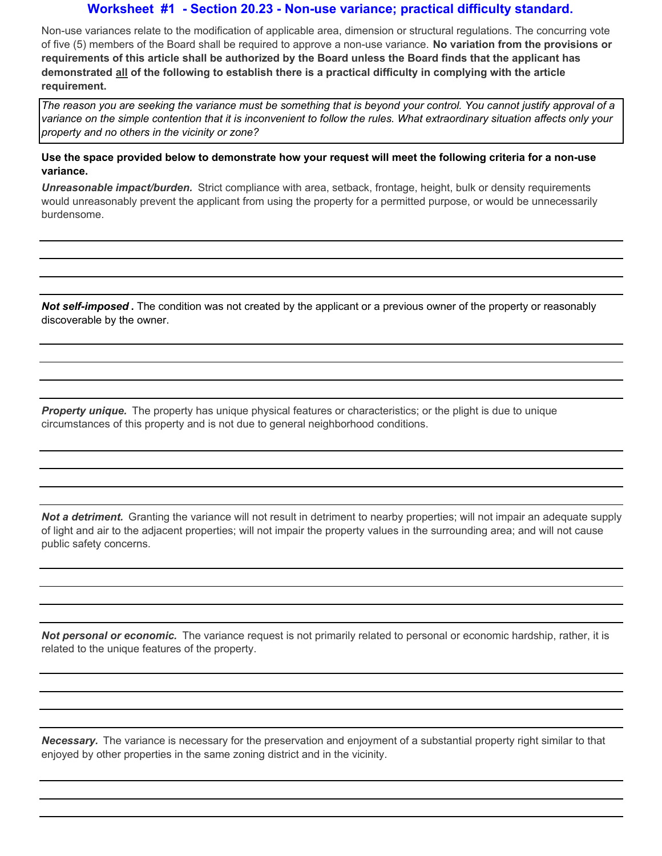#### **Worksheet #1 - Section 20.23 - Non-use variance; practical difficulty standard.**

Non-use variances relate to the modification of applicable area, dimension or structural regulations. The concurring vote of five (5) members of the Board shall be required to approve a non-use variance. **No variation from the provisions or requirements of this article shall be authorized by the Board unless the Board finds that the applicant has demonstrated all of the following to establish there is a practical difficulty in complying with the article requirement.**

*The reason you are seeking the variance must be something that is beyond your control. You cannot justify approval of a variance on the simple contention that it is inconvenient to follow the rules. What extraordinary situation affects only your property and no others in the vicinity or zone?* 

**Use the space provided below to demonstrate how your request will meet the following criteria for a non-use variance.**

*Unreasonable impact/burden.* Strict compliance with area, setback, frontage, height, bulk or density requirements would unreasonably prevent the applicant from using the property for a permitted purpose, or would be unnecessarily burdensome.

*Not self-imposed* **.** The condition was not created by the applicant or a previous owner of the property or reasonably discoverable by the owner.

*Property unique.* The property has unique physical features or characteristics; or the plight is due to unique circumstances of this property and is not due to general neighborhood conditions.

*Not a detriment.* Granting the variance will not result in detriment to nearby properties; will not impair an adequate supply of light and air to the adjacent properties; will not impair the property values in the surrounding area; and will not cause public safety concerns.

*Not personal or economic.* The variance request is not primarily related to personal or economic hardship, rather, it is related to the unique features of the property.

*Necessary.* The variance is necessary for the preservation and enjoyment of a substantial property right similar to that enjoyed by other properties in the same zoning district and in the vicinity.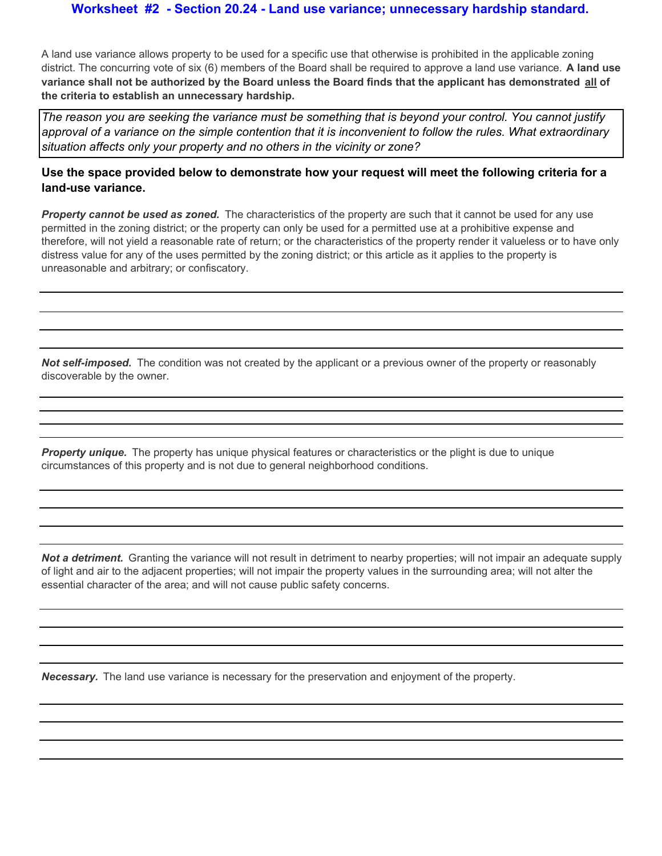#### **Worksheet #2 - Section 20.24 - Land use variance; unnecessary hardship standard.**

A land use variance allows property to be used for a specific use that otherwise is prohibited in the applicable zoning district. The concurring vote of six (6) members of the Board shall be required to approve a land use variance. **A land use variance shall not be authorized by the Board unless the Board finds that the applicant has demonstrated all of the criteria to establish an unnecessary hardship.**

*The reason you are seeking the variance must be something that is beyond your control. You cannot justify approval of a variance on the simple contention that it is inconvenient to follow the rules. What extraordinary situation affects only your property and no others in the vicinity or zone?* 

#### **Use the space provided below to demonstrate how your request will meet the following criteria for a land-use variance.**

*Property cannot be used as zoned.* The characteristics of the property are such that it cannot be used for any use permitted in the zoning district; or the property can only be used for a permitted use at a prohibitive expense and therefore, will not yield a reasonable rate of return; or the characteristics of the property render it valueless or to have only distress value for any of the uses permitted by the zoning district; or this article as it applies to the property is unreasonable and arbitrary; or confiscatory.

*Not self-imposed.* The condition was not created by the applicant or a previous owner of the property or reasonably discoverable by the owner.

*Property unique.* The property has unique physical features or characteristics or the plight is due to unique circumstances of this property and is not due to general neighborhood conditions.

*Not a detriment.* Granting the variance will not result in detriment to nearby properties; will not impair an adequate supply of light and air to the adjacent properties; will not impair the property values in the surrounding area; will not alter the essential character of the area; and will not cause public safety concerns.

*Necessary.* The land use variance is necessary for the preservation and enjoyment of the property.